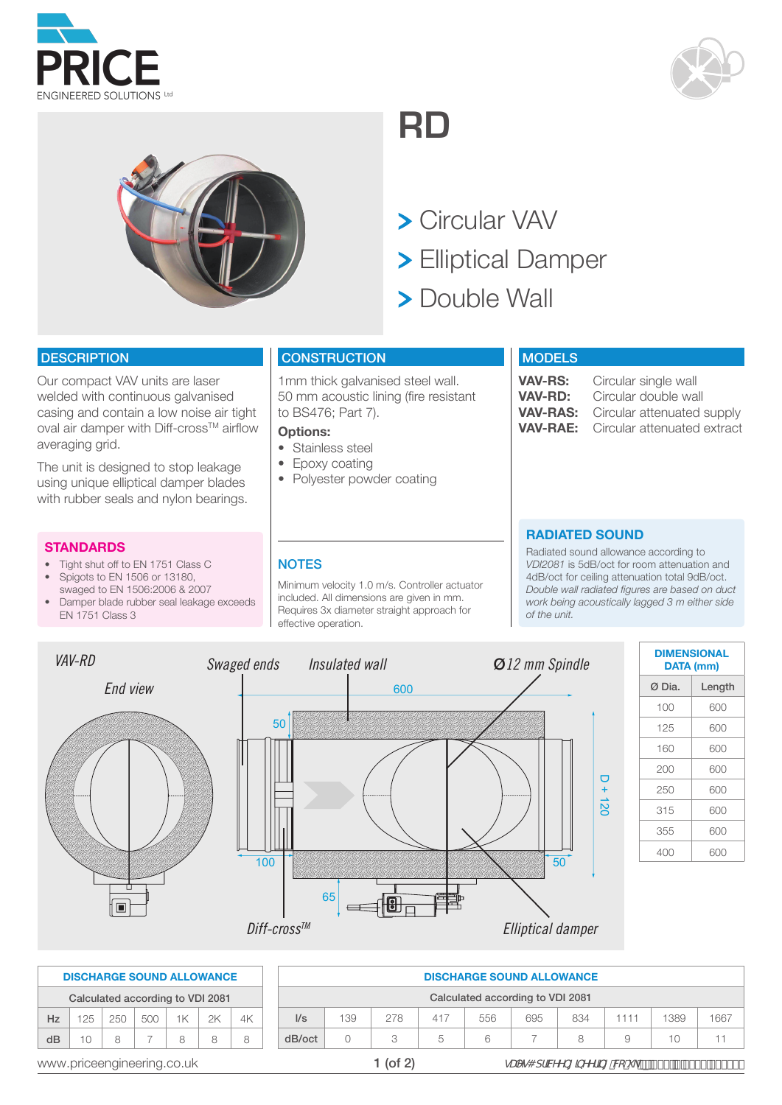





600 **RD**

> Circular VAV

- **> Elliptical Damper**
- <sup>50</sup> <sup>65</sup> Double Wall

#### **DESCRIPTION**

Our compact VAV units are laser welded with continuous galvanised casing and contain a low noise air tight oval air damper with Diff-cross™ airflow averaging grid.

The unit is designed to stop leakage using unique elliptical damper blades with rubber seals and nylon bearings.

#### **STANDARDS**

- Tight shut off to EN 1751 Class C
- Spigots to EN 1506 or 13180, swaged to EN 1506:2006 & 2007
- Damper blade rubber seal leakage exceeds EN 1751 Class 3

### **CONSTRUCTION**

1mm thick galvanised steel wall. 50 mm acoustic lining (fire resistant to BS476; Part 7).

#### **Options:**

- Stainless steel
- Epoxy coating
- Polyester powder coating

#### **MODELS**

**VAV-RS:** Circular single wall<br>**VAV-RD:** Circular double wa **VAV-RD:** Circular double wall<br>**VAV-RAS:** Circular attenuated **VAV-RAS:** Circular attenuated supply<br>**VAV-RAE:** Circular attenuated extract **Circular attenuated extract** 

#### **RADIATED SOUND**

Radiated sound allowance according to *VDI2081* is 5dB/oct for room attenuation and 4dB/oct for ceiling attenuation total 9dB/oct. *Double wall radiated figures are based on duct work being acoustically lagged 3 m either side of the unit.*



| <b>DIMENSIONAL</b><br><b>DATA (mm)</b> |        |  |  |  |  |
|----------------------------------------|--------|--|--|--|--|
| Ø Dia.                                 | Length |  |  |  |  |
| 100                                    | 600    |  |  |  |  |
| 125                                    | 600    |  |  |  |  |
| 160                                    | 600    |  |  |  |  |
| 200                                    | 600    |  |  |  |  |
| 250                                    | 600    |  |  |  |  |
| 315                                    | 600    |  |  |  |  |
| 355                                    | 600    |  |  |  |  |
| 400                                    | 600    |  |  |  |  |

|    |         |                                  | <b>DISCHARGE SOUND ALLOWANCE</b> |      |    |    |        |     |     |
|----|---------|----------------------------------|----------------------------------|------|----|----|--------|-----|-----|
|    |         | Calculated according to VDI 2081 |                                  |      |    |    |        |     |     |
| Hz | $125 -$ | 250                              | 500                              | $1K$ | 2K | 4K | 1/s    | 139 | 278 |
| dB | 10      | 8                                |                                  | 8    | 8  | 8  | dB/oct |     |     |
|    |         |                                  |                                  |      |    |    |        |     |     |

|    | <b>DISCHARGE SOUND ALLOWANCE</b> |     |     |    |    |          |                          |                                  |     |                                                                 | <b>DISCHARGE SOUND ALLOWANCE</b> |     |     |      |      |      |
|----|----------------------------------|-----|-----|----|----|----------|--------------------------|----------------------------------|-----|-----------------------------------------------------------------|----------------------------------|-----|-----|------|------|------|
|    | Calculated according to VDI 2081 |     |     |    |    |          |                          | Calculated according to VDI 2081 |     |                                                                 |                                  |     |     |      |      |      |
| Hz | 25                               | 250 | 500 | 1K | 2K | 4K       | $\mathsf{II}/\mathsf{s}$ | 139                              | 278 | 417                                                             | 556                              | 695 | 834 | 1111 | 1389 | 1667 |
| dB | 10 <sup>1</sup>                  | 8   |     | 8  | 8  | 8        | dB/oct                   |                                  |     | 5                                                               | 6                                |     |     |      | 10   | 11   |
|    | www.priceengineering.co.uk       |     |     |    |    | 1 (of 2) |                          |                                  |     | gUYg4 dfJWYb[]bYYf]b["Vć"i_"p <sup>'</sup> Ž(('f\$L%'(',')-\$\$ |                                  |     |     |      |      |      |

#### **NOTES**

Minimum velocity 1.0 m/s. Controller actuator included. All dimensions are given in mm. Requires 3x diameter straight approach for effective operation.

- 
-